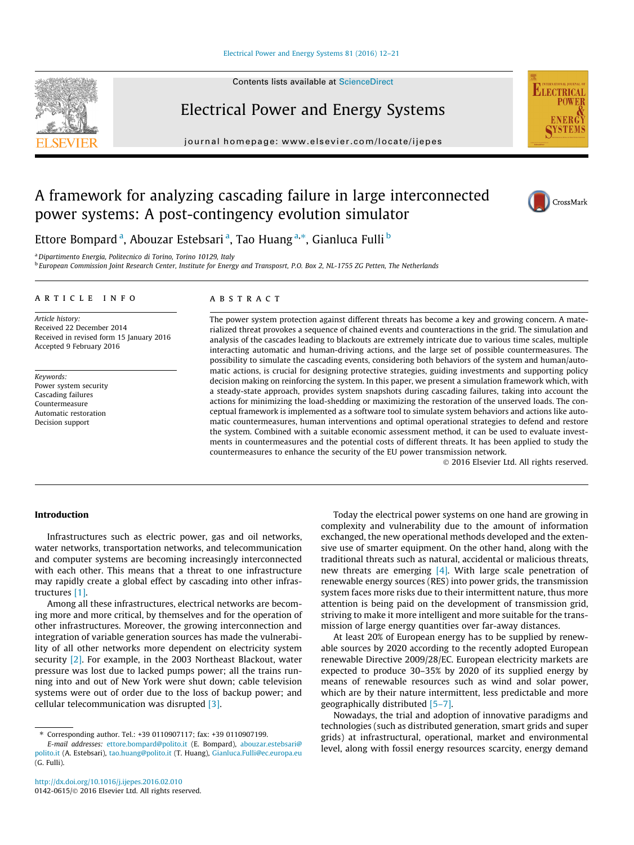#### [Electrical Power and Energy Systems 81 \(2016\) 12–21](http://dx.doi.org/10.1016/j.ijepes.2016.02.010)

# Electrical Power and Energy Systems

journal homepage: [www.elsevier.com/locate/ijepes](http://www.elsevier.com/locate/ijepes)

## A framework for analyzing cascading failure in large interconnected power systems: A post-contingency evolution simulator



**ELECTRICA** 

Ettore Bompard <sup>a</sup>, Abouzar Estebsari <sup>a</sup>, Tao Huang <sup>a,</sup>\*, Gianluca Fulli <sup>b</sup>

<sup>a</sup>Dipartimento Energia, Politecnico di Torino, Torino 10129, Italy

<sup>b</sup> European Commission Joint Research Center, Institute for Energy and Transposrt, P.O. Box 2, NL-1755 ZG Petten, The Netherlands

#### article info

Article history: Received 22 December 2014 Received in revised form 15 January 2016 Accepted 9 February 2016

Keywords: Power system security Cascading failures Countermeasure Automatic restoration Decision support

#### ABSTRACT

The power system protection against different threats has become a key and growing concern. A materialized threat provokes a sequence of chained events and counteractions in the grid. The simulation and analysis of the cascades leading to blackouts are extremely intricate due to various time scales, multiple interacting automatic and human-driving actions, and the large set of possible countermeasures. The possibility to simulate the cascading events, considering both behaviors of the system and human/automatic actions, is crucial for designing protective strategies, guiding investments and supporting policy decision making on reinforcing the system. In this paper, we present a simulation framework which, with a steady-state approach, provides system snapshots during cascading failures, taking into account the actions for minimizing the load-shedding or maximizing the restoration of the unserved loads. The conceptual framework is implemented as a software tool to simulate system behaviors and actions like automatic countermeasures, human interventions and optimal operational strategies to defend and restore the system. Combined with a suitable economic assessment method, it can be used to evaluate investments in countermeasures and the potential costs of different threats. It has been applied to study the countermeasures to enhance the security of the EU power transmission network.

2016 Elsevier Ltd. All rights reserved.

### Introduction

Infrastructures such as electric power, gas and oil networks, water networks, transportation networks, and telecommunication and computer systems are becoming increasingly interconnected with each other. This means that a threat to one infrastructure may rapidly create a global effect by cascading into other infrastructures [1].

Among all these infrastructures, electrical networks are becoming more and more critical, by themselves and for the operation of other infrastructures. Moreover, the growing interconnection and integration of variable generation sources has made the vulnerability of all other networks more dependent on electricity system security [2]. For example, in the 2003 Northeast Blackout, water pressure was lost due to lacked pumps power; all the trains running into and out of New York were shut down; cable television systems were out of order due to the loss of backup power; and cellular telecommunication was disrupted [3].

Today the electrical power systems on one hand are growing in complexity and vulnerability due to the amount of information exchanged, the new operational methods developed and the extensive use of smarter equipment. On the other hand, along with the traditional threats such as natural, accidental or malicious threats, new threats are emerging  $[4]$ . With large scale penetration of renewable energy sources (RES) into power grids, the transmission system faces more risks due to their intermittent nature, thus more attention is being paid on the development of transmission grid, striving to make it more intelligent and more suitable for the transmission of large energy quantities over far-away distances.

At least 20% of European energy has to be supplied by renewable sources by 2020 according to the recently adopted European renewable Directive 2009/28/EC. European electricity markets are expected to produce 30–35% by 2020 of its supplied energy by means of renewable resources such as wind and solar power, which are by their nature intermittent, less predictable and more geographically distributed [5–7].

Nowadays, the trial and adoption of innovative paradigms and technologies (such as distributed generation, smart grids and super grids) at infrastructural, operational, market and environmental level, along with fossil energy resources scarcity, energy demand



<sup>⇑</sup> Corresponding author. Tel.: +39 0110907117; fax: +39 0110907199.

E-mail addresses: [ettore.bompard@polito.it](mailto:ettore.bompard@polito.it) (E. Bompard), [abouzar.estebsari@](mailto:abouzar.estebsari@polito.it) [polito.it](mailto:abouzar.estebsari@polito.it) (A. Estebsari), [tao.huang@polito.it](mailto:tao.huang@polito.it) (T. Huang), [Gianluca.Fulli@ec.europa.eu](mailto:Gianluca.Fulli@ec.europa.eu) (G. Fulli).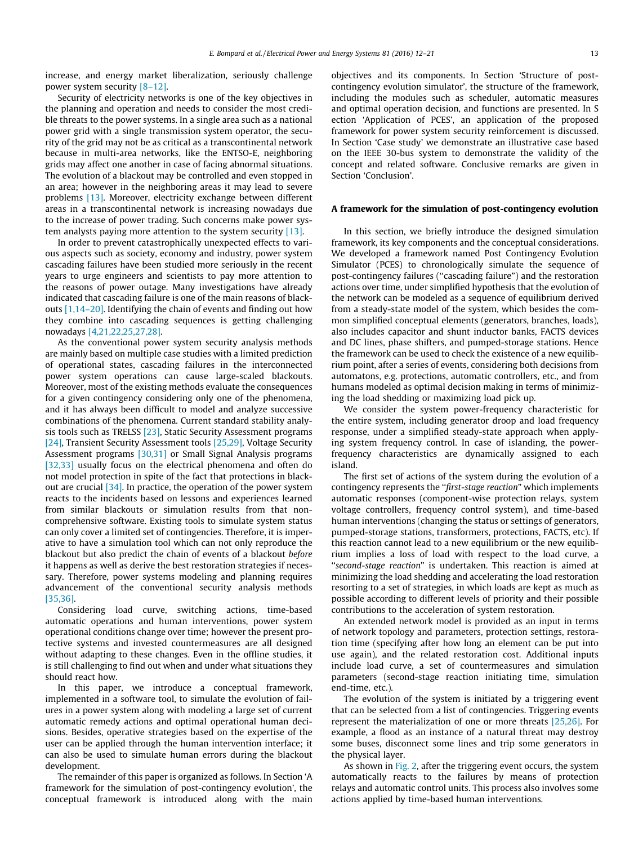increase, and energy market liberalization, seriously challenge power system security [8–12].

Security of electricity networks is one of the key objectives in the planning and operation and needs to consider the most credible threats to the power systems. In a single area such as a national power grid with a single transmission system operator, the security of the grid may not be as critical as a transcontinental network because in multi-area networks, like the ENTSO-E, neighboring grids may affect one another in case of facing abnormal situations. The evolution of a blackout may be controlled and even stopped in an area; however in the neighboring areas it may lead to severe problems [13]. Moreover, electricity exchange between different areas in a transcontinental network is increasing nowadays due to the increase of power trading. Such concerns make power system analysts paying more attention to the system security [13].

In order to prevent catastrophically unexpected effects to various aspects such as society, economy and industry, power system cascading failures have been studied more seriously in the recent years to urge engineers and scientists to pay more attention to the reasons of power outage. Many investigations have already indicated that cascading failure is one of the main reasons of blackouts [1,14–20]. Identifying the chain of events and finding out how they combine into cascading sequences is getting challenging nowadays [4,21,22,25,27,28].

As the conventional power system security analysis methods are mainly based on multiple case studies with a limited prediction of operational states, cascading failures in the interconnected power system operations can cause large-scaled blackouts. Moreover, most of the existing methods evaluate the consequences for a given contingency considering only one of the phenomena, and it has always been difficult to model and analyze successive combinations of the phenomena. Current standard stability analysis tools such as TRELSS [23], Static Security Assessment programs [24], Transient Security Assessment tools [25,29], Voltage Security Assessment programs [30,31] or Small Signal Analysis programs [32,33] usually focus on the electrical phenomena and often do not model protection in spite of the fact that protections in blackout are crucial [34]. In practice, the operation of the power system reacts to the incidents based on lessons and experiences learned from similar blackouts or simulation results from that noncomprehensive software. Existing tools to simulate system status can only cover a limited set of contingencies. Therefore, it is imperative to have a simulation tool which can not only reproduce the blackout but also predict the chain of events of a blackout before it happens as well as derive the best restoration strategies if necessary. Therefore, power systems modeling and planning requires advancement of the conventional security analysis methods [35,36].

Considering load curve, switching actions, time-based automatic operations and human interventions, power system operational conditions change over time; however the present protective systems and invested countermeasures are all designed without adapting to these changes. Even in the offline studies, it is still challenging to find out when and under what situations they should react how.

In this paper, we introduce a conceptual framework, implemented in a software tool, to simulate the evolution of failures in a power system along with modeling a large set of current automatic remedy actions and optimal operational human decisions. Besides, operative strategies based on the expertise of the user can be applied through the human intervention interface; it can also be used to simulate human errors during the blackout development.

The remainder of this paper is organized as follows. In Section 'A framework for the simulation of post-contingency evolution', the conceptual framework is introduced along with the main objectives and its components. In Section 'Structure of postcontingency evolution simulator', the structure of the framework, including the modules such as scheduler, automatic measures and optimal operation decision, and functions are presented. In S ection 'Application of PCES', an application of the proposed framework for power system security reinforcement is discussed. In Section 'Case study' we demonstrate an illustrative case based on the IEEE 30-bus system to demonstrate the validity of the concept and related software. Conclusive remarks are given in Section 'Conclusion'.

### A framework for the simulation of post-contingency evolution

In this section, we briefly introduce the designed simulation framework, its key components and the conceptual considerations. We developed a framework named Post Contingency Evolution Simulator (PCES) to chronologically simulate the sequence of post-contingency failures (''cascading failure") and the restoration actions over time, under simplified hypothesis that the evolution of the network can be modeled as a sequence of equilibrium derived from a steady-state model of the system, which besides the common simplified conceptual elements (generators, branches, loads), also includes capacitor and shunt inductor banks, FACTS devices and DC lines, phase shifters, and pumped-storage stations. Hence the framework can be used to check the existence of a new equilibrium point, after a series of events, considering both decisions from automatons, e.g. protections, automatic controllers, etc., and from humans modeled as optimal decision making in terms of minimizing the load shedding or maximizing load pick up.

We consider the system power-frequency characteristic for the entire system, including generator droop and load frequency response, under a simplified steady-state approach when applying system frequency control. In case of islanding, the powerfrequency characteristics are dynamically assigned to each island.

The first set of actions of the system during the evolution of a contingency represents the ''first-stage reaction" which implements automatic responses (component-wise protection relays, system voltage controllers, frequency control system), and time-based human interventions (changing the status or settings of generators, pumped-storage stations, transformers, protections, FACTS, etc). If this reaction cannot lead to a new equilibrium or the new equilibrium implies a loss of load with respect to the load curve, a ''second-stage reaction" is undertaken. This reaction is aimed at minimizing the load shedding and accelerating the load restoration resorting to a set of strategies, in which loads are kept as much as possible according to different levels of priority and their possible contributions to the acceleration of system restoration.

An extended network model is provided as an input in terms of network topology and parameters, protection settings, restoration time (specifying after how long an element can be put into use again), and the related restoration cost. Additional inputs include load curve, a set of countermeasures and simulation parameters (second-stage reaction initiating time, simulation end-time, etc.).

The evolution of the system is initiated by a triggering event that can be selected from a list of contingencies. Triggering events represent the materialization of one or more threats [25,26]. For example, a flood as an instance of a natural threat may destroy some buses, disconnect some lines and trip some generators in the physical layer.

As shown in Fig. 2, after the triggering event occurs, the system automatically reacts to the failures by means of protection relays and automatic control units. This process also involves some actions applied by time-based human interventions.